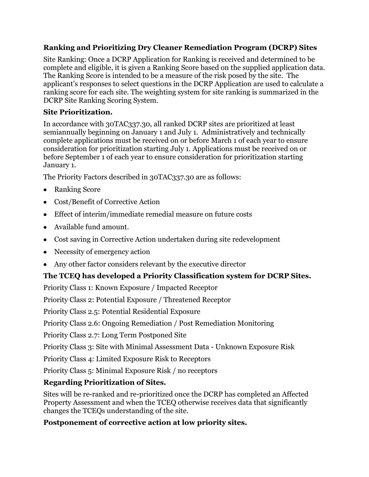#### **Ranking and Prioritizing Dry Cleaner Remediation Program (DCRP) Sites**

Site Ranking: Once a DCRP Application for Ranking is received and determined to be complete and eligible, it is given a Ranking Score based on the supplied application data. The Ranking Score is intended to be a measure of the risk posed by the site. The applicant's responses to select questions in the DCRP Application are used to calculate a ranking score for each site. The weighting system for site ranking is summarized in the [DCRP Site Ranking Scoring System.](http://www.tceq.texas.gov/assets/public/remediation/dry_cleaners/scoreranktable.pdf)

#### **Site Prioritization.**

In accordance with 30TAC337.30, all ranked DCRP sites are prioritized at least semiannually beginning on January 1 and July 1. Administratively and technically complete applications must be received on or before March 1 of each year to ensure consideration for prioritization starting July 1. Applications must be received on or before September 1 of each year to ensure consideration for prioritization starting January 1.

The Priority Factors described in 30TAC337.30 are as follows:

- Ranking Score
- Cost/Benefit of Corrective Action
- Effect of interim/immediate remedial measure on future costs
- Available fund amount.
- Cost saving in Corrective Action undertaken during site redevelopment
- Necessity of emergency action
- Any other factor considers relevant by the executive director

# **The TCEQ has developed a Priority Classification system for DCRP Sites.**

Priority Class 1: Known Exposure / Impacted Receptor

Priority Class 2: Potential Exposure / Threatened Receptor

Priority Class 2.5: Potential Residential Exposure

Priority Class 2.6: Ongoing Remediation / Post Remediation Monitoring

Priority Class 2.7: Long Term Postponed Site

Priority Class 3: Site with Minimal Assessment Data - Unknown Exposure Risk

Priority Class 4: Limited Exposure Risk to Receptors

Priority Class 5: Minimal Exposure Risk / no receptors

# **Regarding Prioritization of Sites.**

Sites will be re-ranked and re-prioritized once the DCRP has completed an Affected Property Assessment and when the TCEQ otherwise receives data that significantly changes the TCEQs understanding of the site.

# **Postponement of corrective action at low priority sites.**